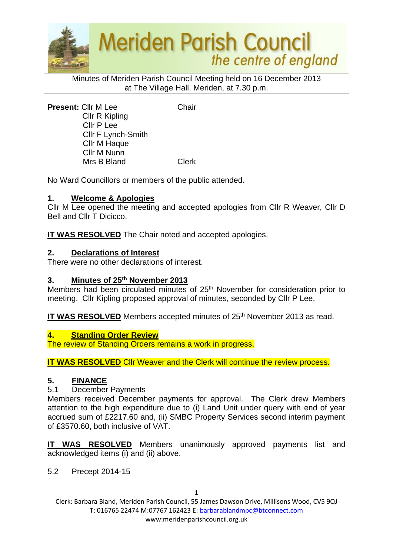

Minutes of Meriden Parish Council Meeting held on 16 December 2013 at The Village Hall, Meriden, at 7.30 p.m.

**Present:** Cllr M Lee Chair Cllr R Kipling Cllr P Lee Cllr F Lynch-Smith Cllr M Haque Cllr M Nunn Mrs B Bland Clerk

No Ward Councillors or members of the public attended.

## **1. Welcome & Apologies**

Cllr M Lee opened the meeting and accepted apologies from Cllr R Weaver, Cllr D Bell and Cllr T Dicicco.

**IT WAS RESOLVED** The Chair noted and accepted apologies.

## **2. Declarations of Interest**

There were no other declarations of interest.

#### **3. Minutes of 25th November 2013**

Members had been circulated minutes of 25<sup>th</sup> November for consideration prior to meeting. Cllr Kipling proposed approval of minutes, seconded by Cllr P Lee.

**IT WAS RESOLVED** Members accepted minutes of 25<sup>th</sup> November 2013 as read.

#### **4. Standing Order Review**

The review of Standing Orders remains a work in progress.

**IT WAS RESOLVED** Cllr Weaver and the Clerk will continue the review process.

# **5. FINANCE**

#### 5.1 December Payments

Members received December payments for approval. The Clerk drew Members attention to the high expenditure due to (i) Land Unit under query with end of year accrued sum of £2217.60 and, (ii) SMBC Property Services second interim payment of £3570.60, both inclusive of VAT.

**IT WAS RESOLVED** Members unanimously approved payments list and acknowledged items (i) and (ii) above.

5.2 Precept 2014-15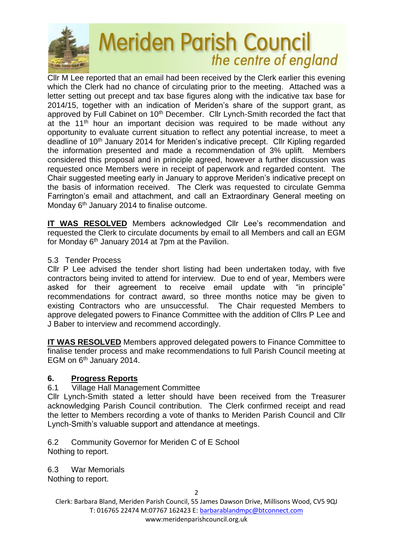

Cllr M Lee reported that an email had been received by the Clerk earlier this evening which the Clerk had no chance of circulating prior to the meeting. Attached was a letter setting out precept and tax base figures along with the indicative tax base for 2014/15, together with an indication of Meriden's share of the support grant, as approved by Full Cabinet on 10<sup>th</sup> December. Cllr Lynch-Smith recorded the fact that at the  $11<sup>th</sup>$  hour an important decision was required to be made without any opportunity to evaluate current situation to reflect any potential increase, to meet a deadline of 10<sup>th</sup> January 2014 for Meriden's indicative precept. Cllr Kipling regarded the information presented and made a recommendation of 3% uplift. Members considered this proposal and in principle agreed, however a further discussion was requested once Members were in receipt of paperwork and regarded content. The Chair suggested meeting early in January to approve Meriden's indicative precept on the basis of information received. The Clerk was requested to circulate Gemma Farrington's email and attachment, and call an Extraordinary General meeting on Monday 6<sup>th</sup> January 2014 to finalise outcome.

**IT WAS RESOLVED** Members acknowledged Cllr Lee's recommendation and requested the Clerk to circulate documents by email to all Members and call an EGM for Monday  $6<sup>th</sup>$  January 2014 at 7pm at the Pavilion.

## 5.3 Tender Process

Cllr P Lee advised the tender short listing had been undertaken today, with five contractors being invited to attend for interview. Due to end of year, Members were asked for their agreement to receive email update with "in principle" recommendations for contract award, so three months notice may be given to existing Contractors who are unsuccessful. The Chair requested Members to approve delegated powers to Finance Committee with the addition of Cllrs P Lee and J Baber to interview and recommend accordingly.

**IT WAS RESOLVED** Members approved delegated powers to Finance Committee to finalise tender process and make recommendations to full Parish Council meeting at EGM on 6<sup>th</sup> January 2014.

# **6. Progress Reports**

#### 6.1 Village Hall Management Committee

Cllr Lynch-Smith stated a letter should have been received from the Treasurer acknowledging Parish Council contribution. The Clerk confirmed receipt and read the letter to Members recording a vote of thanks to Meriden Parish Council and Cllr Lynch-Smith's valuable support and attendance at meetings.

6.2 Community Governor for Meriden C of E School Nothing to report.

6.3 War Memorials

Nothing to report.

2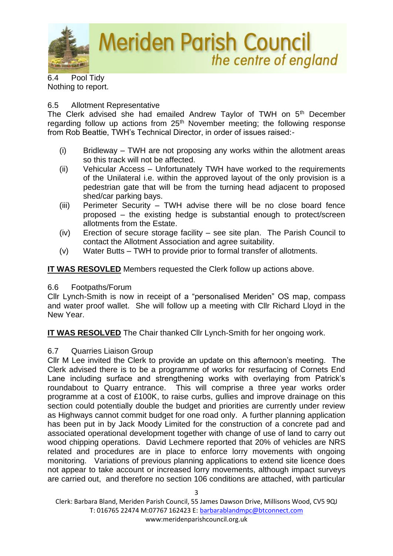

6.4 Pool Tidy Nothing to report.

## 6.5 Allotment Representative

The Clerk advised she had emailed Andrew Taylor of TWH on 5<sup>th</sup> December regarding follow up actions from  $25<sup>th</sup>$  November meeting; the following response from Rob Beattie, TWH's Technical Director, in order of issues raised:-

- (i) Bridleway TWH are not proposing any works within the allotment areas so this track will not be affected.
- (ii) Vehicular Access Unfortunately TWH have worked to the requirements of the Unilateral i.e. within the approved layout of the only provision is a pedestrian gate that will be from the turning head adjacent to proposed shed/car parking bays.
- (iii) Perimeter Security TWH advise there will be no close board fence proposed – the existing hedge is substantial enough to protect/screen allotments from the Estate.
- (iv) Erection of secure storage facility see site plan. The Parish Council to contact the Allotment Association and agree suitability.
- (v) Water Butts TWH to provide prior to formal transfer of allotments.

**IT WAS RESOVLED** Members requested the Clerk follow up actions above.

# 6.6 Footpaths/Forum

Cllr Lynch-Smith is now in receipt of a "personalised Meriden" OS map, compass and water proof wallet. She will follow up a meeting with Cllr Richard Lloyd in the New Year.

**IT WAS RESOLVED** The Chair thanked Cllr Lynch-Smith for her ongoing work.

# 6.7 Quarries Liaison Group

Cllr M Lee invited the Clerk to provide an update on this afternoon's meeting. The Clerk advised there is to be a programme of works for resurfacing of Cornets End Lane including surface and strengthening works with overlaying from Patrick's roundabout to Quarry entrance. This will comprise a three year works order programme at a cost of £100K, to raise curbs, gullies and improve drainage on this section could potentially double the budget and priorities are currently under review as Highways cannot commit budget for one road only. A further planning application has been put in by Jack Moody Limited for the construction of a concrete pad and associated operational development together with change of use of land to carry out wood chipping operations. David Lechmere reported that 20% of vehicles are NRS related and procedures are in place to enforce lorry movements with ongoing monitoring. Variations of previous planning applications to extend site licence does not appear to take account or increased lorry movements, although impact surveys are carried out, and therefore no section 106 conditions are attached, with particular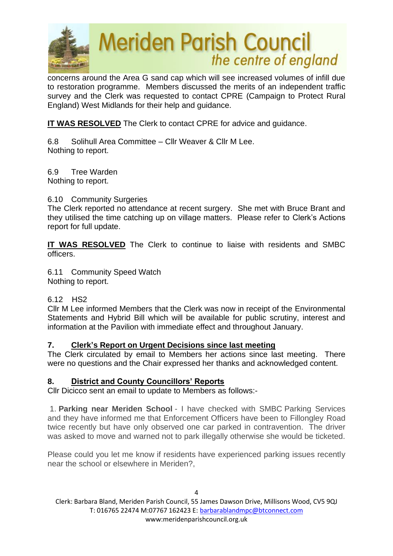

concerns around the Area G sand cap which will see increased volumes of infill due to restoration programme. Members discussed the merits of an independent traffic survey and the Clerk was requested to contact CPRE (Campaign to Protect Rural England) West Midlands for their help and guidance.

**IT WAS RESOLVED** The Clerk to contact CPRE for advice and guidance.

6.8 Solihull Area Committee – Cllr Weaver & Cllr M Lee. Nothing to report.

6.9 Tree Warden Nothing to report.

# 6.10 Community Surgeries

The Clerk reported no attendance at recent surgery. She met with Bruce Brant and they utilised the time catching up on village matters. Please refer to Clerk's Actions report for full update.

**IT WAS RESOLVED** The Clerk to continue to liaise with residents and SMBC officers.

6.11 Community Speed Watch Nothing to report.

# 6.12 HS2

Cllr M Lee informed Members that the Clerk was now in receipt of the Environmental Statements and Hybrid Bill which will be available for public scrutiny, interest and information at the Pavilion with immediate effect and throughout January.

# **7. Clerk's Report on Urgent Decisions since last meeting**

The Clerk circulated by email to Members her actions since last meeting. There were no questions and the Chair expressed her thanks and acknowledged content.

# **8. District and County Councillors' Reports**

Cllr Dicicco sent an email to update to Members as follows:-

1. **Parking near Meriden School** - I have checked with SMBC Parking Services and they have informed me that Enforcement Officers have been to Fillongley Road twice recently but have only observed one car parked in contravention. The driver was asked to move and warned not to park illegally otherwise she would be ticketed.

Please could you let me know if residents have experienced parking issues recently near the school or elsewhere in Meriden?,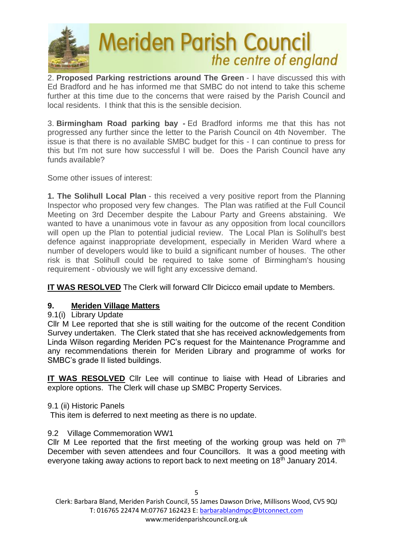

2. **Proposed Parking restrictions around The Green** - I have discussed this with Ed Bradford and he has informed me that SMBC do not intend to take this scheme further at this time due to the concerns that were raised by the Parish Council and local residents. I think that this is the sensible decision.

3. **Birmingham Road parking bay -** Ed Bradford informs me that this has not progressed any further since the letter to the Parish Council on 4th November. The issue is that there is no available SMBC budget for this - I can continue to press for this but I'm not sure how successful I will be. Does the Parish Council have any funds available?

Some other issues of interest:

**1. The Solihull Local Plan** - this received a very positive report from the Planning Inspector who proposed very few changes. The Plan was ratified at the Full Council Meeting on 3rd December despite the Labour Party and Greens abstaining. We wanted to have a unanimous vote in favour as any opposition from local councillors will open up the Plan to potential judicial review. The Local Plan is Solihull's best defence against inappropriate development, especially in Meriden Ward where a number of developers would like to build a significant number of houses. The other risk is that Solihull could be required to take some of Birmingham's housing requirement - obviously we will fight any excessive demand.

**IT WAS RESOLVED** The Clerk will forward Cllr Dicicco email update to Members.

# **9. Meriden Village Matters**

9.1(i) Library Update

Cllr M Lee reported that she is still waiting for the outcome of the recent Condition Survey undertaken. The Clerk stated that she has received acknowledgements from Linda Wilson regarding Meriden PC's request for the Maintenance Programme and any recommendations therein for Meriden Library and programme of works for SMBC's grade II listed buildings.

**IT WAS RESOLVED** Cllr Lee will continue to liaise with Head of Libraries and explore options. The Clerk will chase up SMBC Property Services.

#### 9.1 (ii) Historic Panels

This item is deferred to next meeting as there is no update.

#### 9.2 Village Commemoration WW1

Cllr M Lee reported that the first meeting of the working group was held on  $7<sup>th</sup>$ December with seven attendees and four Councillors. It was a good meeting with everyone taking away actions to report back to next meeting on  $18<sup>th</sup>$  January 2014.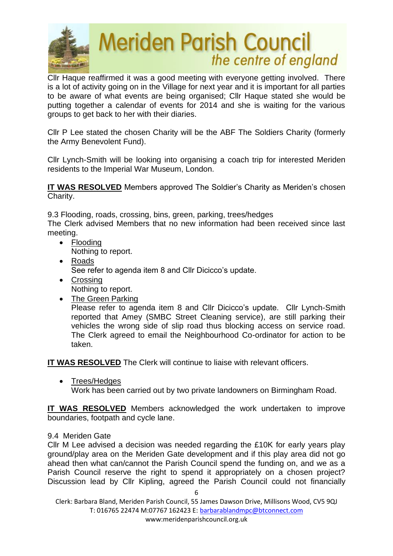

Cllr Haque reaffirmed it was a good meeting with everyone getting involved. There is a lot of activity going on in the Village for next year and it is important for all parties to be aware of what events are being organised; Cllr Haque stated she would be putting together a calendar of events for 2014 and she is waiting for the various groups to get back to her with their diaries.

Cllr P Lee stated the chosen Charity will be the ABF The Soldiers Charity (formerly the Army Benevolent Fund).

Cllr Lynch-Smith will be looking into organising a coach trip for interested Meriden residents to the Imperial War Museum, London.

**IT WAS RESOLVED** Members approved The Soldier's Charity as Meriden's chosen Charity.

9.3 Flooding, roads, crossing, bins, green, parking, trees/hedges The Clerk advised Members that no new information had been received since last meeting.

- Flooding Nothing to report.
- Roads See refer to agenda item 8 and Cllr Dicicco's update.
- Crossing Nothing to report.
- The Green Parking

Please refer to agenda item 8 and Cllr Dicicco's update. Cllr Lynch-Smith reported that Amey (SMBC Street Cleaning service), are still parking their vehicles the wrong side of slip road thus blocking access on service road. The Clerk agreed to email the Neighbourhood Co-ordinator for action to be taken.

**IT WAS RESOLVED** The Clerk will continue to liaise with relevant officers.

• Trees/Hedges

Work has been carried out by two private landowners on Birmingham Road.

**IT WAS RESOLVED** Members acknowledged the work undertaken to improve boundaries, footpath and cycle lane.

#### 9.4 Meriden Gate

Cllr M Lee advised a decision was needed regarding the £10K for early years play ground/play area on the Meriden Gate development and if this play area did not go ahead then what can/cannot the Parish Council spend the funding on, and we as a Parish Council reserve the right to spend it appropriately on a chosen project? Discussion lead by Cllr Kipling, agreed the Parish Council could not financially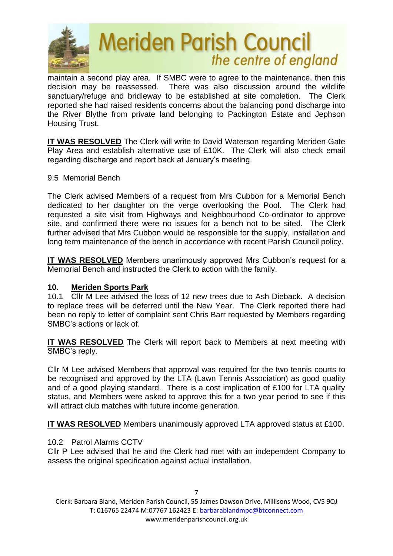

maintain a second play area. If SMBC were to agree to the maintenance, then this decision may be reassessed. There was also discussion around the wildlife sanctuary/refuge and bridleway to be established at site completion. The Clerk reported she had raised residents concerns about the balancing pond discharge into the River Blythe from private land belonging to Packington Estate and Jephson Housing Trust.

**IT WAS RESOLVED** The Clerk will write to David Waterson regarding Meriden Gate Play Area and establish alternative use of £10K. The Clerk will also check email regarding discharge and report back at January's meeting.

## 9.5 Memorial Bench

The Clerk advised Members of a request from Mrs Cubbon for a Memorial Bench dedicated to her daughter on the verge overlooking the Pool. The Clerk had requested a site visit from Highways and Neighbourhood Co-ordinator to approve site, and confirmed there were no issues for a bench not to be sited. The Clerk further advised that Mrs Cubbon would be responsible for the supply, installation and long term maintenance of the bench in accordance with recent Parish Council policy.

**IT WAS RESOLVED** Members unanimously approved Mrs Cubbon's request for a Memorial Bench and instructed the Clerk to action with the family.

# **10. Meriden Sports Park**

10.1 Cllr M Lee advised the loss of 12 new trees due to Ash Dieback. A decision to replace trees will be deferred until the New Year. The Clerk reported there had been no reply to letter of complaint sent Chris Barr requested by Members regarding SMBC's actions or lack of.

**IT WAS RESOLVED** The Clerk will report back to Members at next meeting with SMBC's reply.

Cllr M Lee advised Members that approval was required for the two tennis courts to be recognised and approved by the LTA (Lawn Tennis Association) as good quality and of a good playing standard. There is a cost implication of £100 for LTA quality status, and Members were asked to approve this for a two year period to see if this will attract club matches with future income generation.

**IT WAS RESOLVED** Members unanimously approved LTA approved status at £100.

# 10.2 Patrol Alarms CCTV

Cllr P Lee advised that he and the Clerk had met with an independent Company to assess the original specification against actual installation.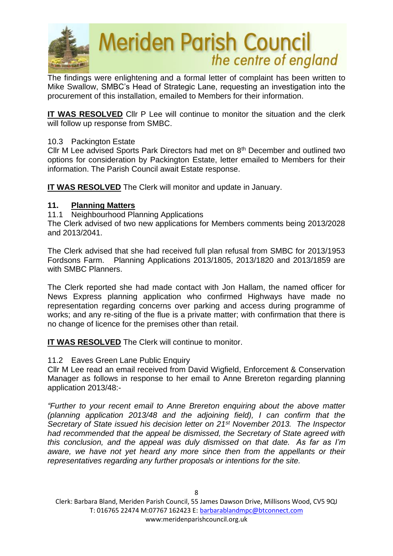

The findings were enlightening and a formal letter of complaint has been written to Mike Swallow, SMBC's Head of Strategic Lane, requesting an investigation into the procurement of this installation, emailed to Members for their information.

**IT WAS RESOLVED** Cllr P Lee will continue to monitor the situation and the clerk will follow up response from SMBC.

## 10.3 Packington Estate

Cllr M Lee advised Sports Park Directors had met on 8<sup>th</sup> December and outlined two options for consideration by Packington Estate, letter emailed to Members for their information. The Parish Council await Estate response.

**IT WAS RESOLVED** The Clerk will monitor and update in January.

## **11. Planning Matters**

11.1 Neighbourhood Planning Applications

The Clerk advised of two new applications for Members comments being 2013/2028 and 2013/2041.

The Clerk advised that she had received full plan refusal from SMBC for 2013/1953 Fordsons Farm. Planning Applications 2013/1805, 2013/1820 and 2013/1859 are with SMBC Planners.

The Clerk reported she had made contact with Jon Hallam, the named officer for News Express planning application who confirmed Highways have made no representation regarding concerns over parking and access during programme of works; and any re-siting of the flue is a private matter; with confirmation that there is no change of licence for the premises other than retail.

**IT WAS RESOLVED** The Clerk will continue to monitor.

#### 11.2 Eaves Green Lane Public Enquiry

Cllr M Lee read an email received from David Wigfield, Enforcement & Conservation Manager as follows in response to her email to Anne Brereton regarding planning application 2013/48:-

*"Further to your recent email to Anne Brereton enquiring about the above matter (planning application 2013/48 and the adjoining field), I can confirm that the Secretary of State issued his decision letter on 21st November 2013. The Inspector had recommended that the appeal be dismissed, the Secretary of State agreed with this conclusion, and the appeal was duly dismissed on that date. As far as I'm*  aware, we have not yet heard any more since then from the appellants or their *representatives regarding any further proposals or intentions for the site.*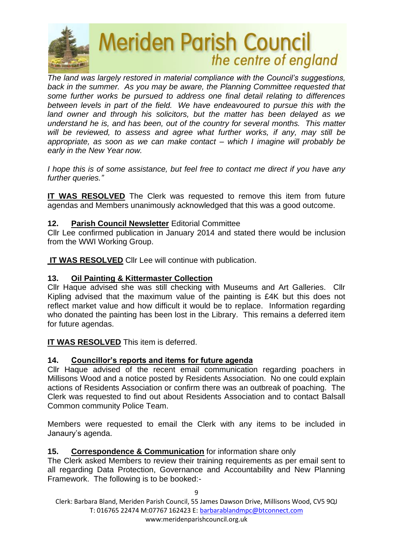

*The land was largely restored in material compliance with the Council's suggestions, back in the summer. As you may be aware, the Planning Committee requested that some further works be pursued to address one final detail relating to differences between levels in part of the field. We have endeavoured to pursue this with the land owner and through his solicitors, but the matter has been delayed as we understand he is, and has been, out of the country for several months. This matter will be reviewed, to assess and agree what further works, if any, may still be appropriate, as soon as we can make contact – which I imagine will probably be early in the New Year now.* 

*I hope this is of some assistance, but feel free to contact me direct if you have any further queries."*

**IT WAS RESOLVED** The Clerk was requested to remove this item from future agendas and Members unanimously acknowledged that this was a good outcome.

# **12. Parish Council Newsletter** Editorial Committee

Cllr Lee confirmed publication in January 2014 and stated there would be inclusion from the WWI Working Group.

**IT WAS RESOLVED** Cllr Lee will continue with publication.

## **13. Oil Painting & Kittermaster Collection**

Cllr Haque advised she was still checking with Museums and Art Galleries. Cllr Kipling advised that the maximum value of the painting is £4K but this does not reflect market value and how difficult it would be to replace. Information regarding who donated the painting has been lost in the Library. This remains a deferred item for future agendas.

#### **IT WAS RESOLVED** This item is deferred.

# **14. Councillor's reports and items for future agenda**

Cllr Haque advised of the recent email communication regarding poachers in Millisons Wood and a notice posted by Residents Association. No one could explain actions of Residents Association or confirm there was an outbreak of poaching. The Clerk was requested to find out about Residents Association and to contact Balsall Common community Police Team.

Members were requested to email the Clerk with any items to be included in Janaury's agenda.

#### **15. Correspondence & Communication** for information share only

The Clerk asked Members to review their training requirements as per email sent to all regarding Data Protection, Governance and Accountability and New Planning Framework. The following is to be booked:-